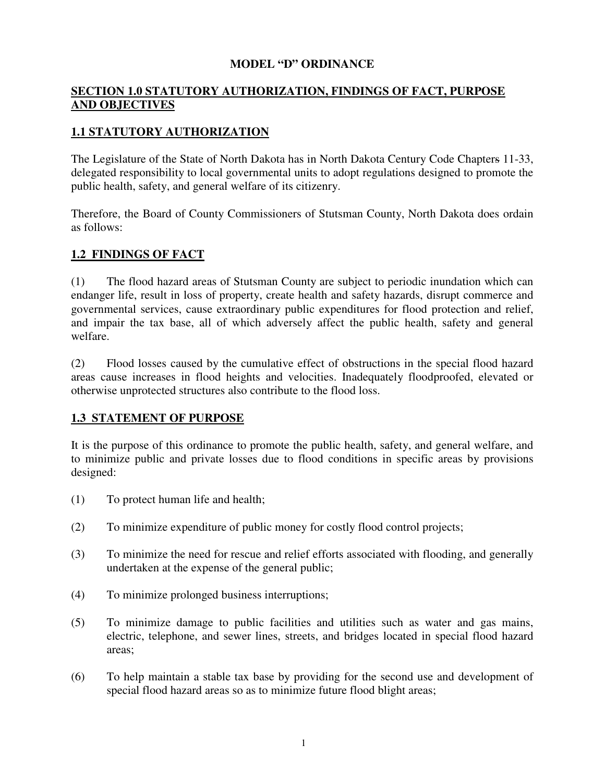### **MODEL "D" ORDINANCE**

# **SECTION 1.0 STATUTORY AUTHORIZATION, FINDINGS OF FACT, PURPOSE AND OBJECTIVES**

# **1.1 STATUTORY AUTHORIZATION**

The Legislature of the State of North Dakota has in North Dakota Century Code Chapters 11-33, delegated responsibility to local governmental units to adopt regulations designed to promote the public health, safety, and general welfare of its citizenry.

Therefore, the Board of County Commissioners of Stutsman County, North Dakota does ordain as follows:

# **1.2 FINDINGS OF FACT**

(1) The flood hazard areas of Stutsman County are subject to periodic inundation which can endanger life, result in loss of property, create health and safety hazards, disrupt commerce and governmental services, cause extraordinary public expenditures for flood protection and relief, and impair the tax base, all of which adversely affect the public health, safety and general welfare.

(2) Flood losses caused by the cumulative effect of obstructions in the special flood hazard areas cause increases in flood heights and velocities. Inadequately floodproofed, elevated or otherwise unprotected structures also contribute to the flood loss.

## **1.3 STATEMENT OF PURPOSE**

It is the purpose of this ordinance to promote the public health, safety, and general welfare, and to minimize public and private losses due to flood conditions in specific areas by provisions designed:

- (1) To protect human life and health;
- (2) To minimize expenditure of public money for costly flood control projects;
- (3) To minimize the need for rescue and relief efforts associated with flooding, and generally undertaken at the expense of the general public;
- (4) To minimize prolonged business interruptions;
- (5) To minimize damage to public facilities and utilities such as water and gas mains, electric, telephone, and sewer lines, streets, and bridges located in special flood hazard areas;
- (6) To help maintain a stable tax base by providing for the second use and development of special flood hazard areas so as to minimize future flood blight areas;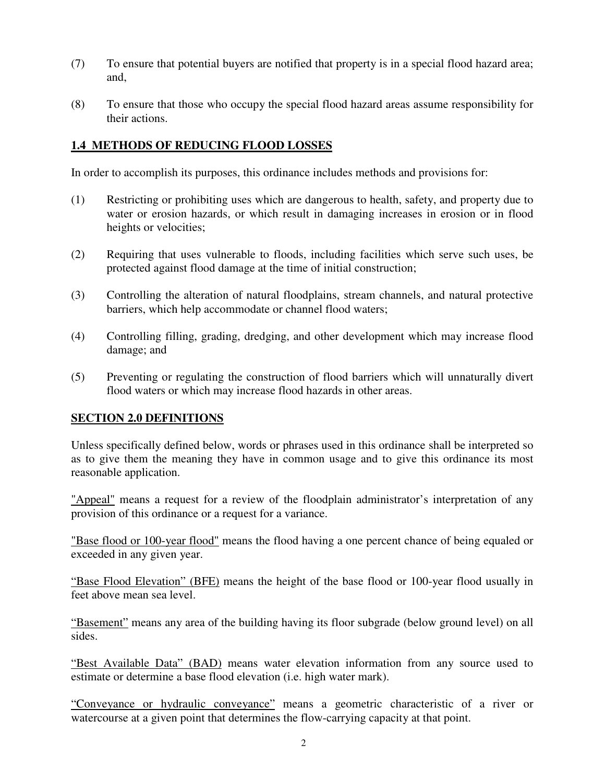- (7) To ensure that potential buyers are notified that property is in a special flood hazard area; and,
- (8) To ensure that those who occupy the special flood hazard areas assume responsibility for their actions.

### **1.4 METHODS OF REDUCING FLOOD LOSSES**

In order to accomplish its purposes, this ordinance includes methods and provisions for:

- (1) Restricting or prohibiting uses which are dangerous to health, safety, and property due to water or erosion hazards, or which result in damaging increases in erosion or in flood heights or velocities;
- (2) Requiring that uses vulnerable to floods, including facilities which serve such uses, be protected against flood damage at the time of initial construction;
- (3) Controlling the alteration of natural floodplains, stream channels, and natural protective barriers, which help accommodate or channel flood waters;
- (4) Controlling filling, grading, dredging, and other development which may increase flood damage; and
- (5) Preventing or regulating the construction of flood barriers which will unnaturally divert flood waters or which may increase flood hazards in other areas.

## **SECTION 2.0 DEFINITIONS**

Unless specifically defined below, words or phrases used in this ordinance shall be interpreted so as to give them the meaning they have in common usage and to give this ordinance its most reasonable application.

"Appeal" means a request for a review of the floodplain administrator's interpretation of any provision of this ordinance or a request for a variance.

"Base flood or 100-year flood" means the flood having a one percent chance of being equaled or exceeded in any given year.

"Base Flood Elevation" (BFE) means the height of the base flood or 100-year flood usually in feet above mean sea level.

"Basement" means any area of the building having its floor subgrade (below ground level) on all sides.

"Best Available Data" (BAD) means water elevation information from any source used to estimate or determine a base flood elevation (i.e. high water mark).

"Conveyance or hydraulic conveyance" means a geometric characteristic of a river or watercourse at a given point that determines the flow-carrying capacity at that point.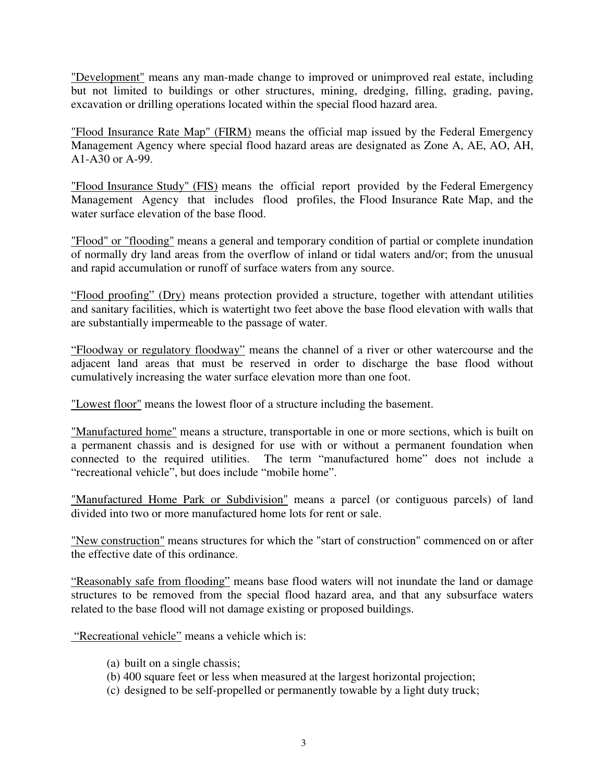"Development" means any man-made change to improved or unimproved real estate, including but not limited to buildings or other structures, mining, dredging, filling, grading, paving, excavation or drilling operations located within the special flood hazard area.

"Flood Insurance Rate Map" (FIRM) means the official map issued by the Federal Emergency Management Agency where special flood hazard areas are designated as Zone A, AE, AO, AH, A1-A30 or A-99.

"Flood Insurance Study" (FIS) means the official report provided by the Federal Emergency Management Agency that includes flood profiles, the Flood Insurance Rate Map, and the water surface elevation of the base flood.

"Flood" or "flooding" means a general and temporary condition of partial or complete inundation of normally dry land areas from the overflow of inland or tidal waters and/or; from the unusual and rapid accumulation or runoff of surface waters from any source.

"Flood proofing" (Dry) means protection provided a structure, together with attendant utilities and sanitary facilities, which is watertight two feet above the base flood elevation with walls that are substantially impermeable to the passage of water.

"Floodway or regulatory floodway" means the channel of a river or other watercourse and the adjacent land areas that must be reserved in order to discharge the base flood without cumulatively increasing the water surface elevation more than one foot.

"Lowest floor" means the lowest floor of a structure including the basement.

"Manufactured home" means a structure, transportable in one or more sections, which is built on a permanent chassis and is designed for use with or without a permanent foundation when connected to the required utilities. The term "manufactured home" does not include a "recreational vehicle", but does include "mobile home".

"Manufactured Home Park or Subdivision" means a parcel (or contiguous parcels) of land divided into two or more manufactured home lots for rent or sale.

"New construction" means structures for which the "start of construction" commenced on or after the effective date of this ordinance.

"Reasonably safe from flooding" means base flood waters will not inundate the land or damage structures to be removed from the special flood hazard area, and that any subsurface waters related to the base flood will not damage existing or proposed buildings.

"Recreational vehicle" means a vehicle which is:

- (a) built on a single chassis;
- (b) 400 square feet or less when measured at the largest horizontal projection;
- (c) designed to be self-propelled or permanently towable by a light duty truck;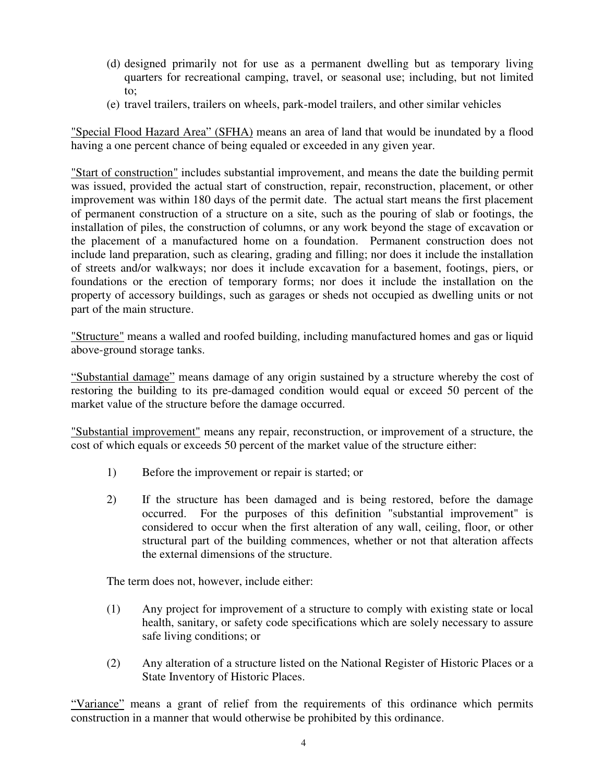- (d) designed primarily not for use as a permanent dwelling but as temporary living quarters for recreational camping, travel, or seasonal use; including, but not limited to;
- (e) travel trailers, trailers on wheels, park-model trailers, and other similar vehicles

"Special Flood Hazard Area" (SFHA) means an area of land that would be inundated by a flood having a one percent chance of being equaled or exceeded in any given year.

"Start of construction" includes substantial improvement, and means the date the building permit was issued, provided the actual start of construction, repair, reconstruction, placement, or other improvement was within 180 days of the permit date. The actual start means the first placement of permanent construction of a structure on a site, such as the pouring of slab or footings, the installation of piles, the construction of columns, or any work beyond the stage of excavation or the placement of a manufactured home on a foundation. Permanent construction does not include land preparation, such as clearing, grading and filling; nor does it include the installation of streets and/or walkways; nor does it include excavation for a basement, footings, piers, or foundations or the erection of temporary forms; nor does it include the installation on the property of accessory buildings, such as garages or sheds not occupied as dwelling units or not part of the main structure.

"Structure" means a walled and roofed building, including manufactured homes and gas or liquid above-ground storage tanks.

"Substantial damage" means damage of any origin sustained by a structure whereby the cost of restoring the building to its pre-damaged condition would equal or exceed 50 percent of the market value of the structure before the damage occurred.

"Substantial improvement" means any repair, reconstruction, or improvement of a structure, the cost of which equals or exceeds 50 percent of the market value of the structure either:

- 1) Before the improvement or repair is started; or
- 2) If the structure has been damaged and is being restored, before the damage occurred. For the purposes of this definition "substantial improvement" is considered to occur when the first alteration of any wall, ceiling, floor, or other structural part of the building commences, whether or not that alteration affects the external dimensions of the structure.

The term does not, however, include either:

- (1) Any project for improvement of a structure to comply with existing state or local health, sanitary, or safety code specifications which are solely necessary to assure safe living conditions; or
- (2) Any alteration of a structure listed on the National Register of Historic Places or a State Inventory of Historic Places.

"Variance" means a grant of relief from the requirements of this ordinance which permits construction in a manner that would otherwise be prohibited by this ordinance.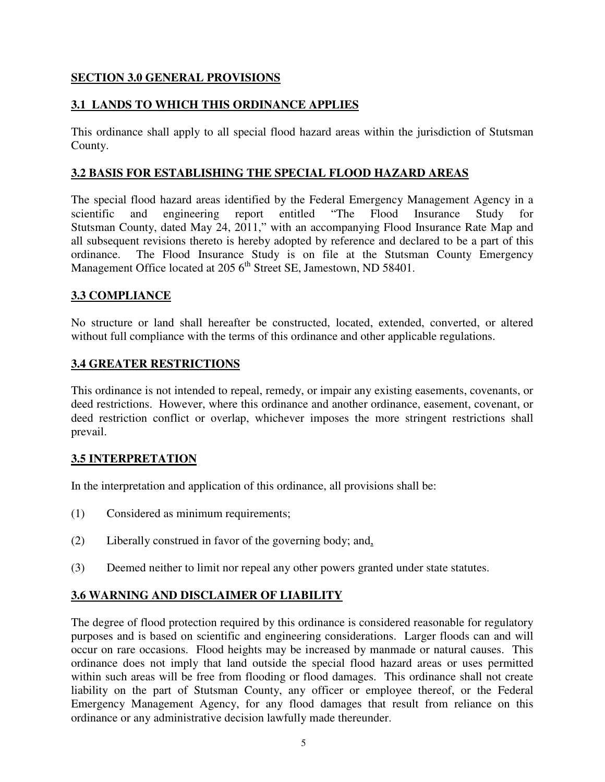## **SECTION 3.0 GENERAL PROVISIONS**

## **3.1 LANDS TO WHICH THIS ORDINANCE APPLIES**

This ordinance shall apply to all special flood hazard areas within the jurisdiction of Stutsman County.

### **3.2 BASIS FOR ESTABLISHING THE SPECIAL FLOOD HAZARD AREAS**

The special flood hazard areas identified by the Federal Emergency Management Agency in a scientific and engineering report entitled "The Flood Insurance Study for Stutsman County, dated May 24, 2011," with an accompanying Flood Insurance Rate Map and all subsequent revisions thereto is hereby adopted by reference and declared to be a part of this ordinance. The Flood Insurance Study is on file at the Stutsman County Emergency Management Office located at 205  $6<sup>th</sup>$  Street SE, Jamestown, ND 58401.

## **3.3 COMPLIANCE**

No structure or land shall hereafter be constructed, located, extended, converted, or altered without full compliance with the terms of this ordinance and other applicable regulations.

#### **3.4 GREATER RESTRICTIONS**

This ordinance is not intended to repeal, remedy, or impair any existing easements, covenants, or deed restrictions. However, where this ordinance and another ordinance, easement, covenant, or deed restriction conflict or overlap, whichever imposes the more stringent restrictions shall prevail.

## **3.5 INTERPRETATION**

In the interpretation and application of this ordinance, all provisions shall be:

- (1) Considered as minimum requirements;
- (2) Liberally construed in favor of the governing body; and,
- (3) Deemed neither to limit nor repeal any other powers granted under state statutes.

## **3.6 WARNING AND DISCLAIMER OF LIABILITY**

The degree of flood protection required by this ordinance is considered reasonable for regulatory purposes and is based on scientific and engineering considerations. Larger floods can and will occur on rare occasions. Flood heights may be increased by manmade or natural causes. This ordinance does not imply that land outside the special flood hazard areas or uses permitted within such areas will be free from flooding or flood damages. This ordinance shall not create liability on the part of Stutsman County, any officer or employee thereof, or the Federal Emergency Management Agency, for any flood damages that result from reliance on this ordinance or any administrative decision lawfully made thereunder.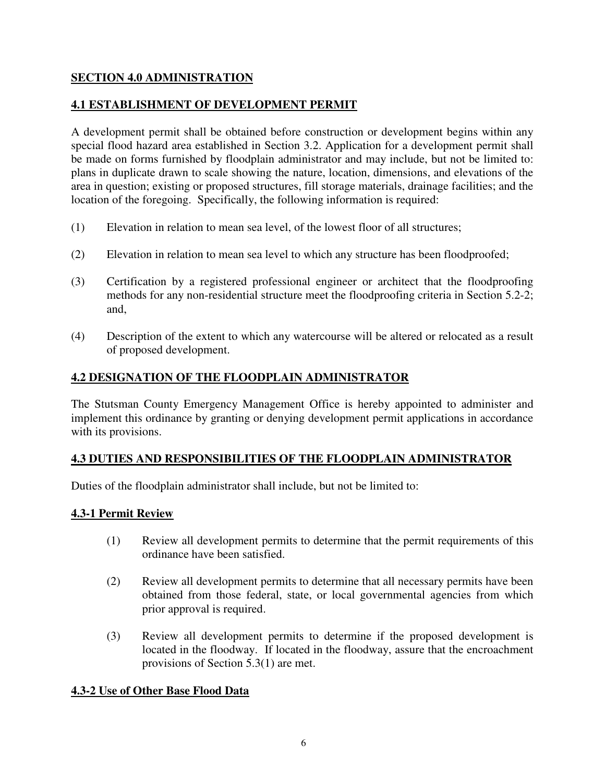## **SECTION 4.0 ADMINISTRATION**

## **4.1 ESTABLISHMENT OF DEVELOPMENT PERMIT**

A development permit shall be obtained before construction or development begins within any special flood hazard area established in Section 3.2. Application for a development permit shall be made on forms furnished by floodplain administrator and may include, but not be limited to: plans in duplicate drawn to scale showing the nature, location, dimensions, and elevations of the area in question; existing or proposed structures, fill storage materials, drainage facilities; and the location of the foregoing. Specifically, the following information is required:

- (1) Elevation in relation to mean sea level, of the lowest floor of all structures;
- (2) Elevation in relation to mean sea level to which any structure has been floodproofed;
- (3) Certification by a registered professional engineer or architect that the floodproofing methods for any non-residential structure meet the floodproofing criteria in Section 5.2-2; and,
- (4) Description of the extent to which any watercourse will be altered or relocated as a result of proposed development.

# **4.2 DESIGNATION OF THE FLOODPLAIN ADMINISTRATOR**

The Stutsman County Emergency Management Office is hereby appointed to administer and implement this ordinance by granting or denying development permit applications in accordance with its provisions.

# **4.3 DUTIES AND RESPONSIBILITIES OF THE FLOODPLAIN ADMINISTRATOR**

Duties of the floodplain administrator shall include, but not be limited to:

## **4.3-1 Permit Review**

- (1) Review all development permits to determine that the permit requirements of this ordinance have been satisfied.
- (2) Review all development permits to determine that all necessary permits have been obtained from those federal, state, or local governmental agencies from which prior approval is required.
- (3) Review all development permits to determine if the proposed development is located in the floodway. If located in the floodway, assure that the encroachment provisions of Section 5.3(1) are met.

# **4.3-2 Use of Other Base Flood Data**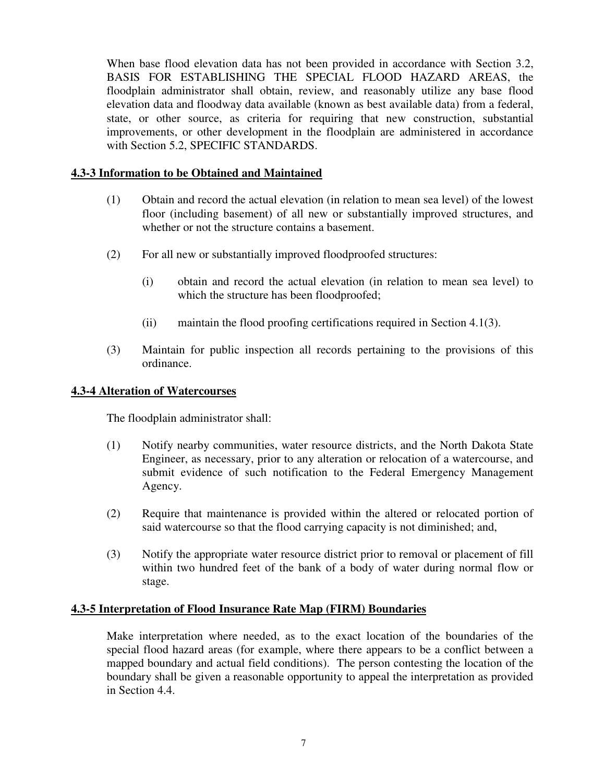When base flood elevation data has not been provided in accordance with Section 3.2, BASIS FOR ESTABLISHING THE SPECIAL FLOOD HAZARD AREAS, the floodplain administrator shall obtain, review, and reasonably utilize any base flood elevation data and floodway data available (known as best available data) from a federal, state, or other source, as criteria for requiring that new construction, substantial improvements, or other development in the floodplain are administered in accordance with Section 5.2, SPECIFIC STANDARDS.

### **4.3-3 Information to be Obtained and Maintained**

- (1) Obtain and record the actual elevation (in relation to mean sea level) of the lowest floor (including basement) of all new or substantially improved structures, and whether or not the structure contains a basement.
- (2) For all new or substantially improved floodproofed structures:
	- (i) obtain and record the actual elevation (in relation to mean sea level) to which the structure has been floodproofed;
	- (ii) maintain the flood proofing certifications required in Section 4.1(3).
- (3) Maintain for public inspection all records pertaining to the provisions of this ordinance.

#### **4.3-4 Alteration of Watercourses**

The floodplain administrator shall:

- (1) Notify nearby communities, water resource districts, and the North Dakota State Engineer, as necessary, prior to any alteration or relocation of a watercourse, and submit evidence of such notification to the Federal Emergency Management Agency.
- (2) Require that maintenance is provided within the altered or relocated portion of said watercourse so that the flood carrying capacity is not diminished; and,
- (3) Notify the appropriate water resource district prior to removal or placement of fill within two hundred feet of the bank of a body of water during normal flow or stage.

#### **4.3-5 Interpretation of Flood Insurance Rate Map (FIRM) Boundaries**

Make interpretation where needed, as to the exact location of the boundaries of the special flood hazard areas (for example, where there appears to be a conflict between a mapped boundary and actual field conditions). The person contesting the location of the boundary shall be given a reasonable opportunity to appeal the interpretation as provided in Section 4.4.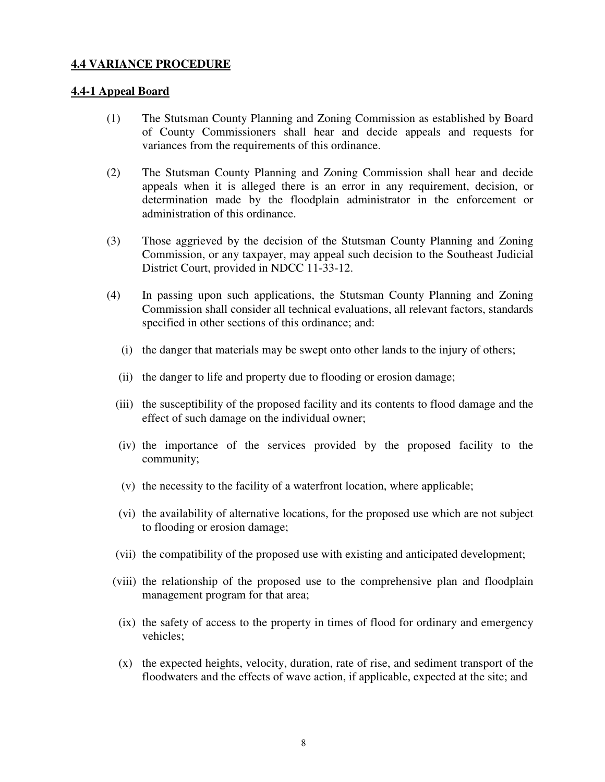#### **4.4 VARIANCE PROCEDURE**

#### **4.4-1 Appeal Board**

- (1) The Stutsman County Planning and Zoning Commission as established by Board of County Commissioners shall hear and decide appeals and requests for variances from the requirements of this ordinance.
- (2) The Stutsman County Planning and Zoning Commission shall hear and decide appeals when it is alleged there is an error in any requirement, decision, or determination made by the floodplain administrator in the enforcement or administration of this ordinance.
- (3) Those aggrieved by the decision of the Stutsman County Planning and Zoning Commission, or any taxpayer, may appeal such decision to the Southeast Judicial District Court, provided in NDCC 11-33-12.
- (4) In passing upon such applications, the Stutsman County Planning and Zoning Commission shall consider all technical evaluations, all relevant factors, standards specified in other sections of this ordinance; and:
	- (i) the danger that materials may be swept onto other lands to the injury of others;
	- (ii) the danger to life and property due to flooding or erosion damage;
	- (iii) the susceptibility of the proposed facility and its contents to flood damage and the effect of such damage on the individual owner;
	- (iv) the importance of the services provided by the proposed facility to the community;
	- (v) the necessity to the facility of a waterfront location, where applicable;
	- (vi) the availability of alternative locations, for the proposed use which are not subject to flooding or erosion damage;
	- (vii) the compatibility of the proposed use with existing and anticipated development;
	- (viii) the relationship of the proposed use to the comprehensive plan and floodplain management program for that area;
	- (ix) the safety of access to the property in times of flood for ordinary and emergency vehicles;
	- (x) the expected heights, velocity, duration, rate of rise, and sediment transport of the floodwaters and the effects of wave action, if applicable, expected at the site; and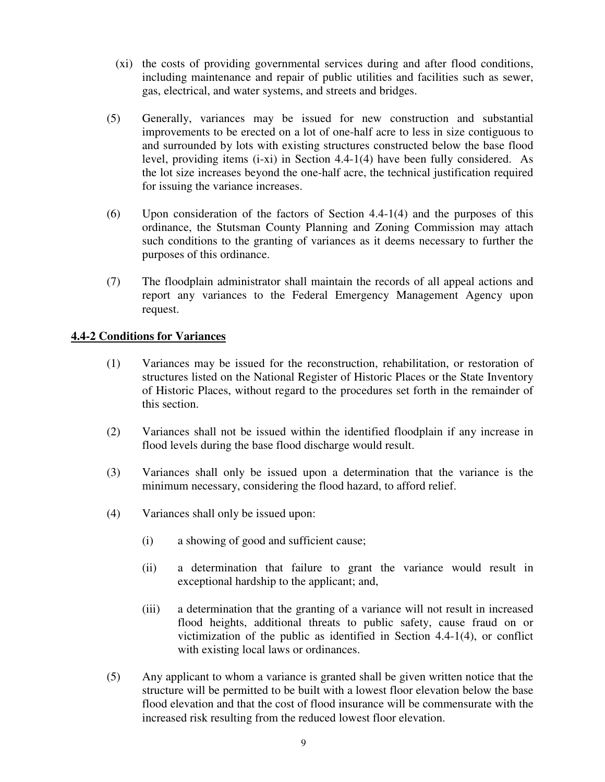- (xi) the costs of providing governmental services during and after flood conditions, including maintenance and repair of public utilities and facilities such as sewer, gas, electrical, and water systems, and streets and bridges.
- (5) Generally, variances may be issued for new construction and substantial improvements to be erected on a lot of one-half acre to less in size contiguous to and surrounded by lots with existing structures constructed below the base flood level, providing items (i-xi) in Section 4.4-1(4) have been fully considered. As the lot size increases beyond the one-half acre, the technical justification required for issuing the variance increases.
- (6) Upon consideration of the factors of Section 4.4-1(4) and the purposes of this ordinance, the Stutsman County Planning and Zoning Commission may attach such conditions to the granting of variances as it deems necessary to further the purposes of this ordinance.
- (7) The floodplain administrator shall maintain the records of all appeal actions and report any variances to the Federal Emergency Management Agency upon request.

## **4.4-2 Conditions for Variances**

- (1) Variances may be issued for the reconstruction, rehabilitation, or restoration of structures listed on the National Register of Historic Places or the State Inventory of Historic Places, without regard to the procedures set forth in the remainder of this section.
- (2) Variances shall not be issued within the identified floodplain if any increase in flood levels during the base flood discharge would result.
- (3) Variances shall only be issued upon a determination that the variance is the minimum necessary, considering the flood hazard, to afford relief.
- (4) Variances shall only be issued upon:
	- (i) a showing of good and sufficient cause;
	- (ii) a determination that failure to grant the variance would result in exceptional hardship to the applicant; and,
	- (iii) a determination that the granting of a variance will not result in increased flood heights, additional threats to public safety, cause fraud on or victimization of the public as identified in Section 4.4-1(4), or conflict with existing local laws or ordinances.
- (5) Any applicant to whom a variance is granted shall be given written notice that the structure will be permitted to be built with a lowest floor elevation below the base flood elevation and that the cost of flood insurance will be commensurate with the increased risk resulting from the reduced lowest floor elevation.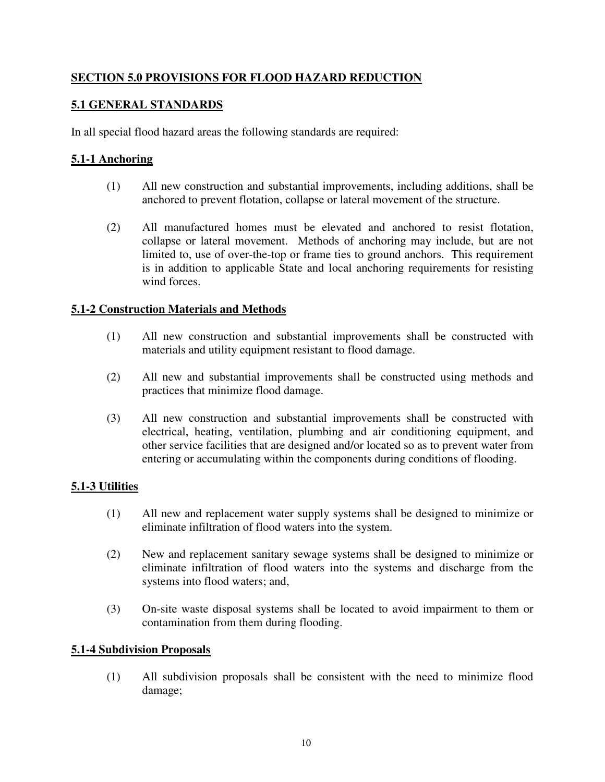# **SECTION 5.0 PROVISIONS FOR FLOOD HAZARD REDUCTION**

## **5.1 GENERAL STANDARDS**

In all special flood hazard areas the following standards are required:

## **5.1-1 Anchoring**

- (1) All new construction and substantial improvements, including additions, shall be anchored to prevent flotation, collapse or lateral movement of the structure.
- (2) All manufactured homes must be elevated and anchored to resist flotation, collapse or lateral movement. Methods of anchoring may include, but are not limited to, use of over-the-top or frame ties to ground anchors. This requirement is in addition to applicable State and local anchoring requirements for resisting wind forces.

## **5.1-2 Construction Materials and Methods**

- (1) All new construction and substantial improvements shall be constructed with materials and utility equipment resistant to flood damage.
- (2) All new and substantial improvements shall be constructed using methods and practices that minimize flood damage.
- (3) All new construction and substantial improvements shall be constructed with electrical, heating, ventilation, plumbing and air conditioning equipment, and other service facilities that are designed and/or located so as to prevent water from entering or accumulating within the components during conditions of flooding.

## **5.1-3 Utilities**

- (1) All new and replacement water supply systems shall be designed to minimize or eliminate infiltration of flood waters into the system.
- (2) New and replacement sanitary sewage systems shall be designed to minimize or eliminate infiltration of flood waters into the systems and discharge from the systems into flood waters; and,
- (3) On-site waste disposal systems shall be located to avoid impairment to them or contamination from them during flooding.

## **5.1-4 Subdivision Proposals**

 (1) All subdivision proposals shall be consistent with the need to minimize flood damage;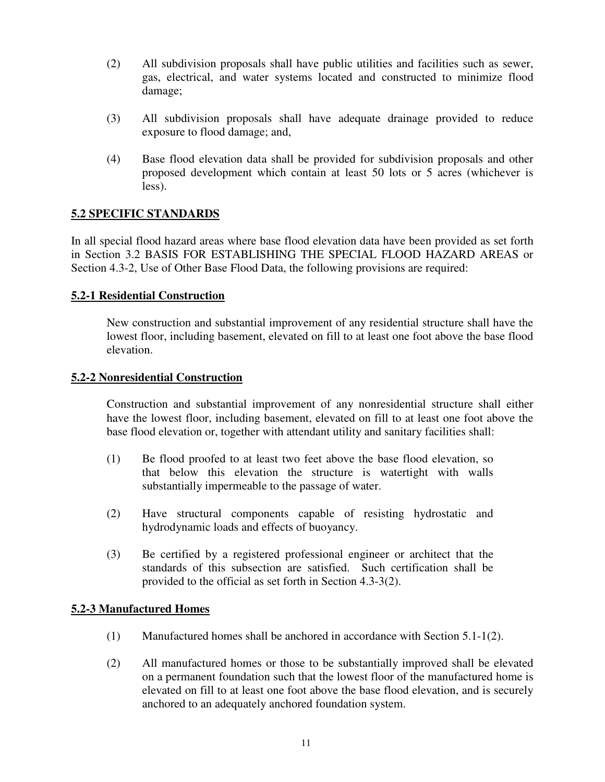- (2) All subdivision proposals shall have public utilities and facilities such as sewer, gas, electrical, and water systems located and constructed to minimize flood damage;
- (3) All subdivision proposals shall have adequate drainage provided to reduce exposure to flood damage; and,
- (4) Base flood elevation data shall be provided for subdivision proposals and other proposed development which contain at least 50 lots or 5 acres (whichever is less).

## **5.2 SPECIFIC STANDARDS**

In all special flood hazard areas where base flood elevation data have been provided as set forth in Section 3.2 BASIS FOR ESTABLISHING THE SPECIAL FLOOD HAZARD AREAS or Section 4.3-2, Use of Other Base Flood Data, the following provisions are required:

## **5.2-1 Residential Construction**

New construction and substantial improvement of any residential structure shall have the lowest floor, including basement, elevated on fill to at least one foot above the base flood elevation.

### **5.2-2 Nonresidential Construction**

Construction and substantial improvement of any nonresidential structure shall either have the lowest floor, including basement, elevated on fill to at least one foot above the base flood elevation or, together with attendant utility and sanitary facilities shall:

- (1) Be flood proofed to at least two feet above the base flood elevation, so that below this elevation the structure is watertight with walls substantially impermeable to the passage of water.
- (2) Have structural components capable of resisting hydrostatic and hydrodynamic loads and effects of buoyancy.
- (3) Be certified by a registered professional engineer or architect that the standards of this subsection are satisfied. Such certification shall be provided to the official as set forth in Section 4.3-3(2).

## **5.2-3 Manufactured Homes**

- (1) Manufactured homes shall be anchored in accordance with Section 5.1-1(2).
- (2) All manufactured homes or those to be substantially improved shall be elevated on a permanent foundation such that the lowest floor of the manufactured home is elevated on fill to at least one foot above the base flood elevation, and is securely anchored to an adequately anchored foundation system.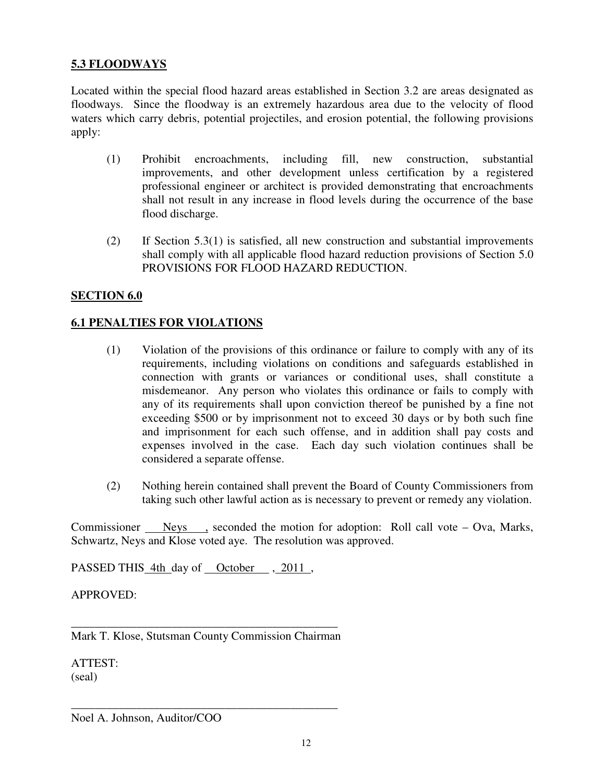### **5.3 FLOODWAYS**

Located within the special flood hazard areas established in Section 3.2 are areas designated as floodways. Since the floodway is an extremely hazardous area due to the velocity of flood waters which carry debris, potential projectiles, and erosion potential, the following provisions apply:

- (1) Prohibit encroachments, including fill, new construction, substantial improvements, and other development unless certification by a registered professional engineer or architect is provided demonstrating that encroachments shall not result in any increase in flood levels during the occurrence of the base flood discharge.
- (2) If Section 5.3(1) is satisfied, all new construction and substantial improvements shall comply with all applicable flood hazard reduction provisions of Section 5.0 PROVISIONS FOR FLOOD HAZARD REDUCTION.

#### **SECTION 6.0**

### **6.1 PENALTIES FOR VIOLATIONS**

- (1) Violation of the provisions of this ordinance or failure to comply with any of its requirements, including violations on conditions and safeguards established in connection with grants or variances or conditional uses, shall constitute a misdemeanor. Any person who violates this ordinance or fails to comply with any of its requirements shall upon conviction thereof be punished by a fine not exceeding \$500 or by imprisonment not to exceed 30 days or by both such fine and imprisonment for each such offense, and in addition shall pay costs and expenses involved in the case. Each day such violation continues shall be considered a separate offense.
- (2) Nothing herein contained shall prevent the Board of County Commissioners from taking such other lawful action as is necessary to prevent or remedy any violation.

Commissioner Neys , seconded the motion for adoption: Roll call vote – Ova, Marks, Schwartz, Neys and Klose voted aye. The resolution was approved.

PASSED THIS 4th day of October , 2011,

APPROVED:

\_\_\_\_\_\_\_\_\_\_\_\_\_\_\_\_\_\_\_\_\_\_\_\_\_\_\_\_\_\_\_\_\_\_\_\_\_\_\_\_\_\_\_\_\_ Mark T. Klose, Stutsman County Commission Chairman

\_\_\_\_\_\_\_\_\_\_\_\_\_\_\_\_\_\_\_\_\_\_\_\_\_\_\_\_\_\_\_\_\_\_\_\_\_\_\_\_\_\_\_\_\_

ATTEST: (seal)

Noel A. Johnson, Auditor/COO